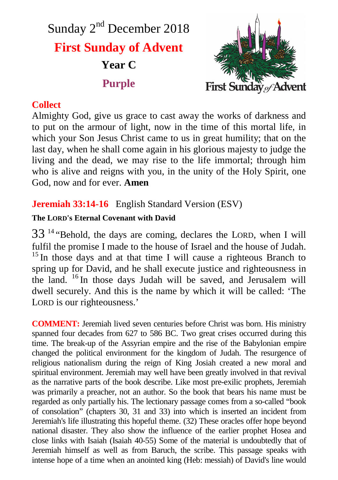

### **Collect**

Almighty God, give us grace to cast away the works of darkness and to put on the armour of light, now in the time of this mortal life, in which your Son Jesus Christ came to us in great humility; that on the last day, when he shall come again in his glorious majesty to judge the living and the dead, we may rise to the life immortal; through him who is alive and reigns with you, in the unity of the Holy Spirit, one God, now and for ever. **Amen**

**Jeremiah 33:14-16** English Standard Version (ESV)

### **The LORD's Eternal Covenant with David**

 $33<sup>14</sup>$  "Behold, the days are coming, declares the LORD, when I will fulfil the promise I made to the house of Israel and the house of Judah.  $15$  In those days and at that time I will cause a righteous Branch to spring up for David, and he shall execute justice and righteousness in the land. <sup>16</sup> In those days Judah will be saved, and Jerusalem will dwell securely. And this is the name by which it will be called: 'The LORD is our righteousness.'

**COMMENT:** Jeremiah lived seven centuries before Christ was born. His ministry spanned four decades from 627 to 586 BC. Two great crises occurred during this time. The break-up of the Assyrian empire and the rise of the Babylonian empire changed the political environment for the kingdom of Judah. The resurgence of religious nationalism during the reign of King Josiah created a new moral and spiritual environment. Jeremiah may well have been greatly involved in that revival as the narrative parts of the book describe. Like most pre-exilic prophets, Jeremiah was primarily a preacher, not an author. So the book that bears his name must be regarded as only partially his. The lectionary passage comes from a so-called "book of consolation" (chapters 30, 31 and 33) into which is inserted an incident from Jeremiah's life illustrating this hopeful theme. (32) These oracles offer hope beyond national disaster. They also show the influence of the earlier prophet Hosea and close links with Isaiah (Isaiah 40-55) Some of the material is undoubtedly that of Jeremiah himself as well as from Baruch, the scribe. This passage speaks with intense hope of a time when an anointed king (Heb: messiah) of David's line would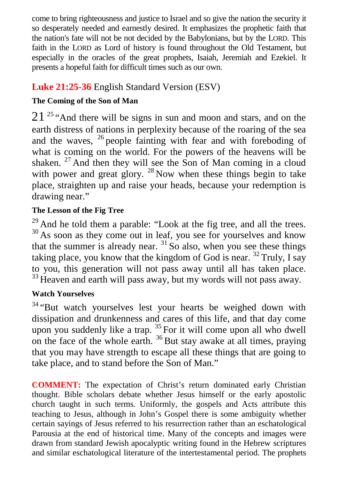come to bring righteousness and justice to Israel and so give the nation the security it so desperately needed and earnestly desired. It emphasizes the prophetic faith that the nation's fate will not be not decided by the Babylonians, but by the LORD. This faith in the LORD as Lord of history is found throughout the Old Testament, but especially in the oracles of the great prophets, Isaiah, Jeremiah and Ezekiel. It presents a hopeful faith for difficult times such as our own.

# **Luke 21:25-36** English Standard Version (ESV)

### **The Coming of the Son of Man**

 $21^{25}$  "And there will be signs in sun and moon and stars, and on the earth distress of nations in perplexity because of the roaring of the sea and the waves,  $^{26}$  people fainting with fear and with foreboding of what is coming on the world. For the powers of the heavens will be shaken. <sup>27</sup> And then they will see the Son of Man coming in a cloud with power and great glory. <sup>28</sup> Now when these things begin to take place, straighten up and raise your heads, because your redemption is drawing near."

### **The Lesson of the Fig Tree**

<sup>29</sup> And he told them a parable: "Look at the fig tree, and all the trees.  $30$  As soon as they come out in leaf, you see for yourselves and know that the summer is already near.  $31$  So also, when you see these things taking place, you know that the kingdom of God is near.  $^{32}$  Truly, I say to you, this generation will not pass away until all has taken place.  $33$  Heaven and earth will pass away, but my words will not pass away.

### **Watch Yourselves**

<sup>34</sup> "But watch vourselves lest your hearts be weighed down with dissipation and drunkenness and cares of this life, and that day come upon you suddenly like a trap. <sup>35</sup> For it will come upon all who dwell on the face of the whole earth. <sup>36</sup> But stay awake at all times, praying that you may have strength to escape all these things that are going to take place, and to stand before the Son of Man."

**COMMENT:** The expectation of Christ's return dominated early Christian thought. Bible scholars debate whether Jesus himself or the early apostolic church taught in such terms. Uniformly, the gospels and Acts attribute this teaching to Jesus, although in John's Gospel there is some ambiguity whether certain sayings of Jesus referred to his resurrection rather than an eschatological Parousia at the end of historical time. Many of the concepts and images were drawn from standard Jewish apocalyptic writing found in the Hebrew scriptures and similar eschatological literature of the intertestamental period. The prophets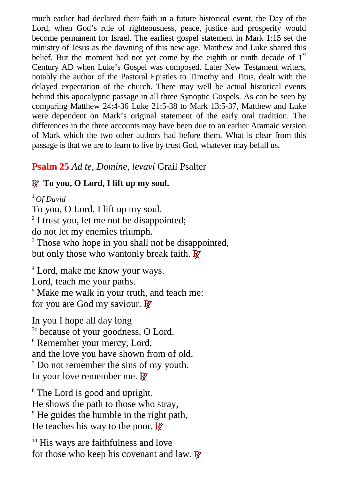much earlier had declared their faith in a future historical event, the Day of the Lord, when God's rule of righteousness, peace, justice and prosperity would become permanent for Israel. The earliest gospel statement in Mark 1:15 set the ministry of Jesus as the dawning of this new age. Matthew and Luke shared this belief. But the moment had not yet come by the eighth or ninth decade of  $1<sup>st</sup>$ Century AD when Luke's Gospel was composed. Later New Testament writers, notably the author of the Pastoral Epistles to Timothy and Titus, dealt with the delayed expectation of the church. There may well be actual historical events behind this apocalyptic passage in all three Synoptic Gospels. As can be seen by comparing Matthew 24:4-36 Luke 21:5-38 to Mark 13:5-37, Matthew and Luke were dependent on Mark's original statement of the early oral tradition. The differences in the three accounts may have been due to an earlier Aramaic version of Mark which the two other authors had before them. What is clear from this passage is that we are to learn to live by trust God, whatever may befall us.

### **Psalm 25** *Ad te, Domine, levavi* Grail Psalter

### **R To you, O Lord, I lift up my soul.**

<sup>1</sup> *Of David* To you, O Lord, I lift up my soul. <sup>2</sup> I trust you, let me not be disappointed; do not let my enemies triumph. <sup>3</sup> Those who hope in you shall not be disappointed, but only those who wantonly break faith. **R**

4 Lord, make me know your ways. Lord, teach me your paths. <sup>5</sup> Make me walk in your truth, and teach me: for you are God my saviour. **R**

In you I hope all day long <sup>7c</sup> because of your goodness, O Lord. 6 Remember your mercy, Lord, and the love you have shown from of old. 7 Do not remember the sins of my youth. In your love remember me. **R**

<sup>8</sup> The Lord is good and upright. He shows the path to those who stray, <sup>9</sup> He guides the humble in the right path, He teaches his way to the poor. **R**

<sup>10</sup> His ways are faithfulness and love for those who keep his covenant and law. **R**